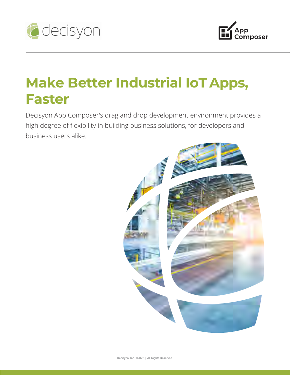



# **Make Better Industrial IoT Apps, Faster**

Decisyon App Composer's drag and drop development environment provides a high degree of flexibility in building business solutions, for developers and business users alike.

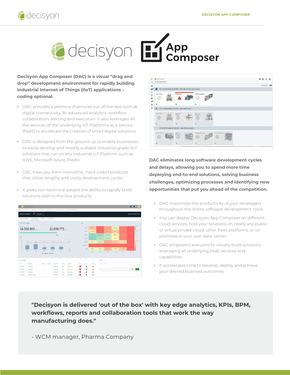



**Decisyon App Composer (DAC) is a visual "drag and drop" development environment for rapidly building Industrial Internet of Things (IIoT) applications – coding optional.**

- DAC provides a plethora of services out-of-the-box such as digital connectivity, BI, advanced analytics, workflow collaboration, alerting and execution. It also leverages all the services of the underlying IoT Platforms as a Service (PaaS) to accelerate the creation of smart digital solutions.
- DAC is designed from the ground up to enable businesses to easily develop and modify scalable industrial grade IIoT solutions that run on any Industrial IoT Platform such as AWS, Microsoft Azure, Predix.
- DAC frees you from monolithic, hard-coded products that utilize lengthy and costly development cycles.
- It gives non-technical people the ability to rapidly build solutions with in-the-box products.

| $\equiv$         | decisyon          |                    |                                      |                             |                   |                       |      |                        |                |                      |            |            |                                     | e              | G<br>м                 |
|------------------|-------------------|--------------------|--------------------------------------|-----------------------------|-------------------|-----------------------|------|------------------------|----------------|----------------------|------------|------------|-------------------------------------|----------------|------------------------|
| PLANTS HAP<br>Ŀ, | LINE BOARD.       | DAILY BOARD        | ORACEY SOLED                         |                             | SAFETY DAILY DATA | MACHINE ADMINISTRATOR |      |                        |                |                      |            |            |                                     |                |                        |
| Latina   Line 1  | two:<br>ö         | 17/04/2018<br>$\;$ |                                      |                             |                   |                       |      |                        |                |                      |            |            |                                     |                | 10 giu 2018   00:03:28 |
| Safety / Quality | Performance       | Waste              |                                      | Downtime                    |                   |                       |      |                        |                |                      |            |            |                                     |                |                        |
| PRODUCTION   Jul |                   |                    |                                      |                             |                   |                       | OEE  |                        |                |                      |            |            |                                     |                |                        |
| <b>ACTUAL</b>    | 16.336.993        |                    |                                      | <b>PLANED</b><br>22.909.773 |                   |                       |      | Freeper 1              | 50,595%        | ox.                  | 22.592%    | 59.876 N   | 3 065 %                             | $0\lambda$     | 100                    |
|                  |                   |                    |                                      |                             |                   |                       |      | Freezer 2              | 41.605%        | 68                   | 21.41.9    | 33,187.5   | 3.999 N                             | ox.            | D                      |
|                  |                   |                    |                                      | 71%                         |                   |                       |      | Treater I              | 87.524 N       | 84.095 N             | 72.738.%   | 45.003 N   | 11.000.5                            | <b>CALL</b>    | 66                     |
| OLE              |                   |                    |                                      |                             |                   |                       |      | <b>Energy 4</b>        | 50.972 N       | 76.029 N             | 71.183 N   | 50,842 %   | 10,892%                             | <b>CAL</b>     |                        |
| 100<br>75        | 21.8              | 25%<br>318         | 75%                                  | 75%                         | 75%               | 75%                   |      | Kuga Robert            | 54.979 N       | 64.957%              | 25.627 N   | 32.547 N   | 42,261.57                           | 68             | 40                     |
| 50<br>25.        | 47%               |                    | 26%                                  | 25.5                        | 12%               |                       |      | <b>Lapping Machine</b> | <b>ON</b>      | (0.8)                | 0.8        | 0.6        | $\langle \hat{q}   \hat{q} \rangle$ | 0 <sup>k</sup> | $20\,$                 |
| $\circ$          |                   |                    |                                      |                             |                   | ox.                   |      | Packer                 | 58.16%         | \$7,054 N            | 27.791%    | 43,754 %   | 54,424.67                           | $\mathbf{a}$   |                        |
|                  | Mon               | Tot                | Wed<br>$-$ OLE Target $X = 0$ LE $X$ | Thu                         | Fri               | Sat                   |      |                        | Min            | $\tau_{\rm eff}$     | <b>Wed</b> | <b>Thu</b> | Fri.                                | 5a             |                        |
|                  |                   |                    |                                      |                             |                   |                       |      |                        |                |                      |            |            |                                     |                |                        |
| ACTION E         |                   |                    |                                      |                             |                   |                       |      |                        |                | CHAT                 |            |            |                                     |                |                        |
| DATE             | MACHINE           | ACTION             | OWNER                                | DUE DATE                    | STATUS            | CONTEXT               | LATE | EDIT                   | <b>CLOSE</b>   | <b>Dieta mexique</b> |            |            |                                     |                |                        |
| 23/02/2018       | Kuga Robert       |                    |                                      | 23/02/2018                  | Open              | Performance           | ٠    | ,                      | $\pmb{\times}$ |                      |            |            |                                     |                |                        |
| 23/02/2018       | <b>Kuga Robot</b> |                    |                                      | 24/02/2018                  | Open              | Performance           | ٠    | I                      | $\pmb{\times}$ | ø                    |            |            |                                     | Cancel         | Send                   |
| 23/02/2018       | Kuga Robet        |                    |                                      | 23/02/2018                  | Open              | Performance           |      | I                      | $\pmb{\times}$ |                      |            |            |                                     |                |                        |
| 01/02/2018       | Water Jet Machine |                    |                                      | 14/02/2018                  | Open              | Performance           |      | ,                      | $\pmb{\times}$ |                      |            |            |                                     |                |                        |



**DAC eliminates long software development cycles and delays, allowing you to spend more time deploying end-to-end solutions, solving business challenges, optimizing processes and identifying new opportunities that put you ahead of the competition.**

- DAC maximizes the productivity of your developers throughout the entire software development cycle.
- You can deploy Decisyon App Composer on different cloud services, host your solutions on nearly any public or virtual private cloud, other PaaS platforms, or on premises in your own data center.
- DAC empowers everyone to visually build solutions leveraging all underlying PaaS services and capabilities.
- It accelerates time to develop, deploy andachieve your desired business outcomes.

**"Decisyon is delivered 'out of the box' with key edge analytics, KPIs, BPM, workflows, reports and collaboration tools that work the way manufacturing does."**

- WCM manager, Pharma Company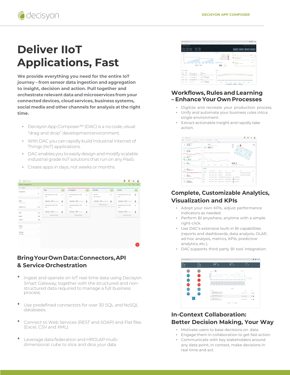

## **Deliver IIoT Applications, Fast**

**We provide everything you need for the entire IoT journey – from sensor data ingestion and aggregation to insight, decision and action. Pull together and orchestrate relevant data and microservices fromyour connected devices, cloud services, business systems, social media and other channels for analysis at the right time.**

- Decisyon App Composer™ (DAC) is a no code, visual "drag and drop" developmentenvironment.
- With DAC you can rapidly build Industrial Internet of Things (IIoT) applications.
- DAC enables you to easily design and modify scalable industrial grade IIoT solutions that run on any PaaS.
- Create apps in days, not weeks or months.

| Tasks management        |                     |                                           |                                |                |                         |               | $\equiv$                          | 冊<br>$\equiv$  |
|-------------------------|---------------------|-------------------------------------------|--------------------------------|----------------|-------------------------|---------------|-----------------------------------|----------------|
| <b>〒 Filters</b>        | $\times$            | New                                       |                                |                | Standby                 |               | Closed                            |                |
| Contained text          |                     | $\overline{2}$                            | In progress                    | $\overline{2}$ |                         | $\mathbf{1}$  |                                   | $\overline{2}$ |
|                         | Q                   | Issue Rome-L01/11:00 - 12:00<br>$\approx$ | Issue Rome-L01(11:00 - 12:00   | $\mathcal{U}$  | Alert T48               | $\mathcal{U}$ | Issue Rome-L01(10:00 - 11:00      | Ø              |
|                         |                     | Issue                                     | Issue                          |                | Storm shutdown          |               | Issue                             |                |
| Spaces                  |                     | HertMert. (3 ns 12,2012)   2              | Plane Maine, Chemical contract |                | FeldMark. Continuums. & |               | Plant Maint (C) PER 12, 2019 211. | $\frac{2}{3}$  |
| Search a space.         | $\scriptstyle\rm w$ | Issue Rome L01(12:00 - 13:00              | Issue Rome-L01(09:00 - 10:00   |                | Create a new task       |               | Issue Rome-L01/12:00 - 14:00      |                |
| Assigned to ree         |                     | $\infty$<br><b>Issue</b>                  | Issue                          | ×              |                         |               | Isson                             | ¥              |
|                         |                     |                                           |                                |                |                         |               |                                   |                |
| Volid                   | ۰Ó                  | Plant Maint. Orm 12, 2013.11.             | Plant Maint. Orm 12, 2011 211. |                |                         |               |                                   |                |
| Invalid                 | ಾ                   | Create a new task.                        | Create a new task              |                |                         |               | Create a new tank                 |                |
| Archived                | $\Box$              |                                           |                                |                |                         |               |                                   |                |
|                         |                     |                                           |                                |                |                         |               |                                   |                |
| Order by                |                     |                                           |                                |                |                         |               |                                   |                |
| Priority                | $\sim$              |                                           |                                |                |                         |               |                                   |                |
|                         |                     |                                           |                                |                |                         |               |                                   |                |
|                         | $\scriptstyle\rm w$ |                                           |                                |                |                         |               |                                   |                |
| Order type<br>Ascending |                     |                                           |                                |                |                         |               |                                   |                |

**Bring Your Own Data: Connectors, API & Service Orchestration**

- Ingest and operate on IoT real-time data using Decisyon Smart Gateway, together with the structured and nonstructured data required to manage a full business process.
- Use predefined connectors for over 30 SQL and NoSQL databases.
- Connect to Web Services (REST and SOAP) and Flat files (Excel, CSV and XML).
- Leverage data federation and HROLAP multidimensional cube to slice and dice your data.



#### **Workflows, Rules and Learning – Enhance Your Own Processes**

- Digitize and recreate your production process.
- Unify and automate your business rules intoa single environment.
- Extract actionable insight and rapidly take action.

| decisyon<br>π                                 |                                                                                                        | 802<br>a                                  |
|-----------------------------------------------|--------------------------------------------------------------------------------------------------------|-------------------------------------------|
| 'n.<br>SUGGESTIONS<br><b>MATINATIVE GRAPH</b> | MAP MONTORING<br>HEEDEY<br>COMMARE                                                                     |                                           |
|                                               | $\checkmark$                                                                                           |                                           |
| TEMPERATURE<br>$23.96 -$                      | CO <sub>2</sub><br>01-10-2018 22:24:00<br>$\omega$ 602 mm                                              | $\overline{p}$                            |
| warws ports<br>42.36.                         | 7.25<br>----------------<br>-----                                                                      |                                           |
| AIR QUALITY<br>42 <sub>2</sub>                | 6.76<br><b>Video</b>                                                                                   |                                           |
|                                               | $\sim$                                                                                                 |                                           |
|                                               |                                                                                                        |                                           |
| CO3                                           | BOX 9<br>1/2<br>12.00<br>15.95<br>21.00<br>18.08                                                       | LATINA - VAN NEIDYL (NAME) 1.             |
| <b>DVST</b><br>5616 <sub>x3000</sub>          | <b>ALFRTS</b><br>Senator Man<br><b>Science Box Editor Please</b><br><b>Fact Earl</b><br><b>British</b> | Since 1                                   |
|                                               | Lating - Via Nami - Pano S.<br>School line<br>09/01/2019 11:35:55<br>BOX, DLT1                         | <b>Shart lox shattown unexpectedly</b>    |
| Lidea B                                       | DEDLOISE LESS BE<br>BOIL9<br>Line Hater, San L. Ghordon                                                | Dead for shallow unavailable              |
| $50.12 -$                                     | Upra-variere-Pare) - Tempeldurette high (4,01,031415/403)<br>800                                       | I impressed?<br>$^{2}$                    |
|                                               | lates-visitent-Resource Dut position 60000001163040 2002 but position<br>800.11                        |                                           |
|                                               | Latra Valleri Pare 1 Airemal Pesue (EDUSI) 8931 0<br>DOILS.                                            | a vul<br>$\Omega$ hence $N$<br>$6.2 + 0.$ |

#### **Complete, Customizable Analytics, Visualization and KPIs**

- Adopt your own KPIs, adjust performance indicators as needed.
- Perform BI anywhere, anytime with a simple right-click.
- Use DAC's extensive built-in BI capabilities (reports and dashboards, data analysis, OLAP, ad-hoc analysis, metrics, KPIs, predictive analytics, etc.).
- DAC supports third party BI tool integration.

| <b>ALLIETE</b><br>2/27<br><b>PORTLAND</b> | <b>ONES</b><br><b>PENDLY TON</b> | <b>MODUCTION</b><br>670 10%                                                                   | <b>DOMNTHE</b><br>$16 \frac{1}{276}$     | <b>DON</b><br>$1 - s\kappa$ |                                          |
|-------------------------------------------|----------------------------------|-----------------------------------------------------------------------------------------------|------------------------------------------|-----------------------------|------------------------------------------|
|                                           |                                  | <b>Business CO</b>                                                                            |                                          |                             |                                          |
|                                           |                                  |                                                                                               |                                          |                             |                                          |
|                                           |                                  | w<br>w<br><b>WIN</b><br>w                                                                     | to<br>w<br><b>SCP</b><br>$\sim$<br>28.28 | w<br>ter<br>To a            | <b>Robert Allers</b><br><b>Fell June</b> |
|                                           |                                  |                                                                                               |                                          |                             |                                          |
|                                           |                                  | ÷<br>$\overline{a}$<br>≂<br>÷<br>m<br>÷                                                       | $\sim$<br>$\overline{a}$<br>w<br>w<br>÷  | $\overline{a}$<br>÷         |                                          |
|                                           |                                  |                                                                                               | <b>ALBRYS</b>                            |                             |                                          |
|                                           |                                  | Louis Mark                                                                                    |                                          |                             | <b>Court</b>                             |
|                                           |                                  | Mentry Removed & Presum, Awhered<br>A nonexerogenes portes term                               |                                          | meterintant?                | now a                                    |
|                                           |                                  | Mentry Benevel) Presum Amount<br><b><i><u>Report For Engineering Constitutions of</u></i></b> |                                          | GLIGHT SECRETS              |                                          |
|                                           | ×                                | <b>BMV E-See between excellent</b><br>٨<br><b>Researchance phone provides more</b>            |                                          | USE OF SECRETS              | $m=2$                                    |

#### **In-Context Collaboration: Better Decision Making, Your Way**

- Motivate users to base decisions on data.
- Engage them in collaboration to get fast action.
- Communicate with key stakeholders around any data point, in context, make decisions in real time and act.